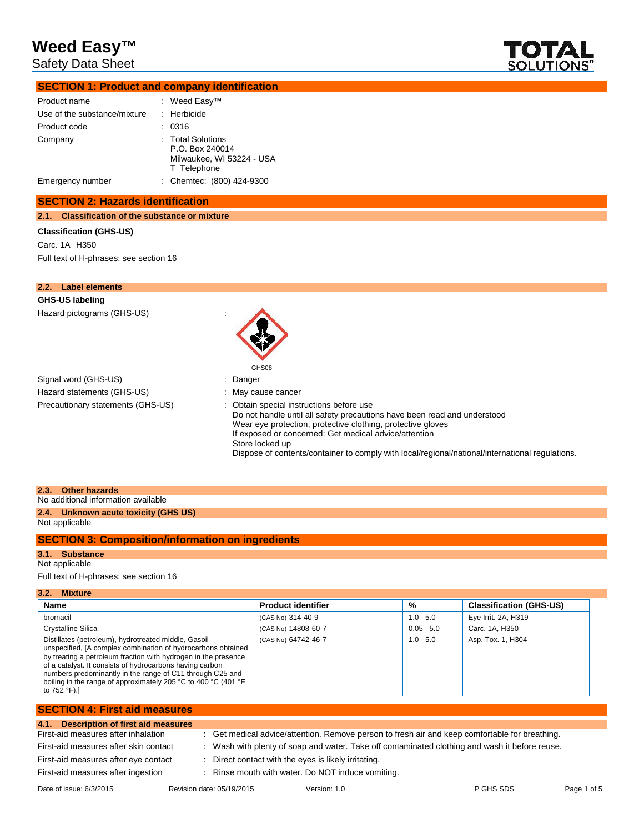Safety Data Sheet



## **SECTION 1: Product and company identification**

| Product name                 | : Weed Easy™                                                                     |
|------------------------------|----------------------------------------------------------------------------------|
| Use of the substance/mixture | $:$ Herbicide                                                                    |
| Product code                 | 0316                                                                             |
| Company                      | : Total Solutions<br>P.O. Box 240014<br>Milwaukee, WI 53224 - USA<br>T Telephone |
| Emergency number             | : Chemtec: (800) 424-9300                                                        |

### **SECTION 2: Hazards identification**

**2.1. Classification of the substance or mixture**

### **Classification (GHS-US)**

Carc. 1A H350 Full text of H-phrases: see section 16

| <b>Label elements</b><br>2.2.     |                                                                                                                                                                                                                                                                                                                                                                  |
|-----------------------------------|------------------------------------------------------------------------------------------------------------------------------------------------------------------------------------------------------------------------------------------------------------------------------------------------------------------------------------------------------------------|
| GHS-US labeling                   |                                                                                                                                                                                                                                                                                                                                                                  |
| Hazard pictograms (GHS-US)        | GHS08                                                                                                                                                                                                                                                                                                                                                            |
| Signal word (GHS-US)              | : Danger                                                                                                                                                                                                                                                                                                                                                         |
| Hazard statements (GHS-US)        | : May cause cancer                                                                                                                                                                                                                                                                                                                                               |
| Precautionary statements (GHS-US) | Obtain special instructions before use<br>Do not handle until all safety precautions have been read and understood<br>Wear eye protection, protective clothing, protective gloves<br>If exposed or concerned: Get medical advice/attention<br>Store locked up<br>Dispose of contents/container to comply with local/regional/national/international regulations. |
| 2.3.<br><b>Other hazards</b>      |                                                                                                                                                                                                                                                                                                                                                                  |

No additional information available **2.4. Unknown acute toxicity (GHS US)**

### Not applicable

## **SECTION 3: Composition/information on ingredients**

## **3.1. Substance**

## Not applicable

Full text of H-phrases: see section 16

| 3.2.<br><b>Mixture</b>                                                                                                                                                                                                                                                                                                                                                                              |                           |              |                                |  |
|-----------------------------------------------------------------------------------------------------------------------------------------------------------------------------------------------------------------------------------------------------------------------------------------------------------------------------------------------------------------------------------------------------|---------------------------|--------------|--------------------------------|--|
| <b>Name</b>                                                                                                                                                                                                                                                                                                                                                                                         | <b>Product identifier</b> | %            | <b>Classification (GHS-US)</b> |  |
| bromacil                                                                                                                                                                                                                                                                                                                                                                                            | (CAS No) 314-40-9         | $1.0 - 5.0$  | Eye Irrit. 2A, H319            |  |
| Crystalline Silica                                                                                                                                                                                                                                                                                                                                                                                  | (CAS No) 14808-60-7       | $0.05 - 5.0$ | Carc. 1A, H350                 |  |
| Distillates (petroleum), hydrotreated middle, Gasoil -<br>unspecified, [A complex combination of hydrocarbons obtained<br>by treating a petroleum fraction with hydrogen in the presence<br>of a catalyst. It consists of hydrocarbons having carbon<br>numbers predominantly in the range of C11 through C25 and<br>boiling in the range of approximately 205 °C to 400 °C (401 °F<br>to 752 °F).] | (CAS No) 64742-46-7       | $1.0 - 5.0$  | Asp. Tox. 1, H304              |  |

## **SECTION 4: First aid measures 4.1. Description of first aid measures** : Get medical advice/attention. Remove person to fresh air and keep comfortable for breathing. First-aid measures after skin contact : Wash with plenty of soap and water. Take off contaminated clothing and wash it before reuse. First-aid measures after eye contact : Direct contact with the eyes is likely irritating. First-aid measures after ingestion : Rinse mouth with water. Do NOT induce vomiting.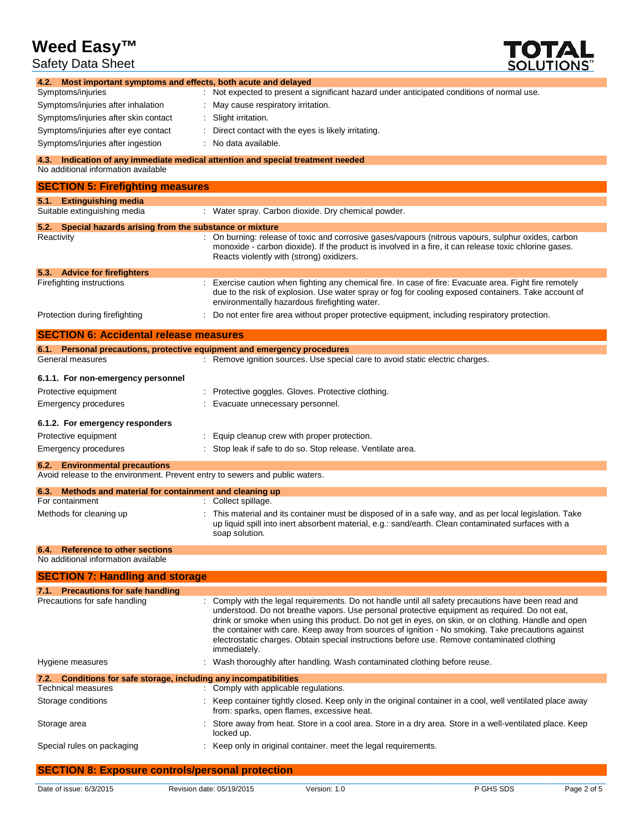Safety Data Sheet



| Jaicly Dala Jilcci                                                                             | <b>SULUTIUNS</b>                                                                                                                                                                                                                                                                                                                                                                                                           |
|------------------------------------------------------------------------------------------------|----------------------------------------------------------------------------------------------------------------------------------------------------------------------------------------------------------------------------------------------------------------------------------------------------------------------------------------------------------------------------------------------------------------------------|
| 4.2. Most important symptoms and effects, both acute and delayed                               |                                                                                                                                                                                                                                                                                                                                                                                                                            |
| Symptoms/injuries                                                                              | : Not expected to present a significant hazard under anticipated conditions of normal use.                                                                                                                                                                                                                                                                                                                                 |
| Symptoms/injuries after inhalation                                                             | May cause respiratory irritation.                                                                                                                                                                                                                                                                                                                                                                                          |
| Symptoms/injuries after skin contact                                                           | Slight irritation.                                                                                                                                                                                                                                                                                                                                                                                                         |
| Symptoms/injuries after eye contact                                                            | Direct contact with the eyes is likely irritating.                                                                                                                                                                                                                                                                                                                                                                         |
| Symptoms/injuries after ingestion                                                              | No data available.                                                                                                                                                                                                                                                                                                                                                                                                         |
| No additional information available                                                            | 4.3. Indication of any immediate medical attention and special treatment needed                                                                                                                                                                                                                                                                                                                                            |
| <b>SECTION 5: Firefighting measures</b>                                                        |                                                                                                                                                                                                                                                                                                                                                                                                                            |
| 5.1. Extinguishing media                                                                       |                                                                                                                                                                                                                                                                                                                                                                                                                            |
| Suitable extinguishing media                                                                   | : Water spray. Carbon dioxide. Dry chemical powder.                                                                                                                                                                                                                                                                                                                                                                        |
| 5.2. Special hazards arising from the substance or mixture                                     |                                                                                                                                                                                                                                                                                                                                                                                                                            |
| Reactivity                                                                                     | : On burning: release of toxic and corrosive gases/vapours (nitrous vapours, sulphur oxides, carbon<br>monoxide - carbon dioxide). If the product is involved in a fire, it can release toxic chlorine gases.<br>Reacts violently with (strong) oxidizers.                                                                                                                                                                 |
| 5.3. Advice for firefighters                                                                   |                                                                                                                                                                                                                                                                                                                                                                                                                            |
| Firefighting instructions                                                                      | : Exercise caution when fighting any chemical fire. In case of fire: Evacuate area. Fight fire remotely<br>due to the risk of explosion. Use water spray or fog for cooling exposed containers. Take account of<br>environmentally hazardous firefighting water.                                                                                                                                                           |
| Protection during firefighting                                                                 | Do not enter fire area without proper protective equipment, including respiratory protection.                                                                                                                                                                                                                                                                                                                              |
| <b>SECTION 6: Accidental release measures</b>                                                  |                                                                                                                                                                                                                                                                                                                                                                                                                            |
|                                                                                                | 6.1. Personal precautions, protective equipment and emergency procedures                                                                                                                                                                                                                                                                                                                                                   |
| General measures                                                                               | : Remove ignition sources. Use special care to avoid static electric charges.                                                                                                                                                                                                                                                                                                                                              |
| 6.1.1. For non-emergency personnel                                                             |                                                                                                                                                                                                                                                                                                                                                                                                                            |
| Protective equipment                                                                           | Protective goggles. Gloves. Protective clothing.                                                                                                                                                                                                                                                                                                                                                                           |
| Emergency procedures                                                                           | Evacuate unnecessary personnel.                                                                                                                                                                                                                                                                                                                                                                                            |
|                                                                                                |                                                                                                                                                                                                                                                                                                                                                                                                                            |
| 6.1.2. For emergency responders                                                                |                                                                                                                                                                                                                                                                                                                                                                                                                            |
| Protective equipment                                                                           | Equip cleanup crew with proper protection.                                                                                                                                                                                                                                                                                                                                                                                 |
| Emergency procedures                                                                           | Stop leak if safe to do so. Stop release. Ventilate area.                                                                                                                                                                                                                                                                                                                                                                  |
| 6.2. Environmental precautions                                                                 |                                                                                                                                                                                                                                                                                                                                                                                                                            |
| Avoid release to the environment. Prevent entry to sewers and public waters.                   |                                                                                                                                                                                                                                                                                                                                                                                                                            |
| Methods and material for containment and cleaning up<br>6.3.<br>For containment                | : Collect spillage.                                                                                                                                                                                                                                                                                                                                                                                                        |
| Methods for cleaning up                                                                        | This material and its container must be disposed of in a safe way, and as per local legislation. Take                                                                                                                                                                                                                                                                                                                      |
|                                                                                                | up liquid spill into inert absorbent material, e.g.: sand/earth. Clean contaminated surfaces with a<br>soap solution.                                                                                                                                                                                                                                                                                                      |
| <b>Reference to other sections</b><br>6.4.<br>No additional information available              |                                                                                                                                                                                                                                                                                                                                                                                                                            |
|                                                                                                |                                                                                                                                                                                                                                                                                                                                                                                                                            |
| <b>SECTION 7: Handling and storage</b>                                                         |                                                                                                                                                                                                                                                                                                                                                                                                                            |
| 7.1. Precautions for safe handling<br>Precautions for safe handling                            | : Comply with the legal requirements. Do not handle until all safety precautions have been read and                                                                                                                                                                                                                                                                                                                        |
|                                                                                                | understood. Do not breathe vapors. Use personal protective equipment as required. Do not eat,<br>drink or smoke when using this product. Do not get in eyes, on skin, or on clothing. Handle and open<br>the container with care. Keep away from sources of ignition - No smoking. Take precautions against<br>electrostatic charges. Obtain special instructions before use. Remove contaminated clothing<br>immediately. |
| Hygiene measures                                                                               | Wash thoroughly after handling. Wash contaminated clothing before reuse.                                                                                                                                                                                                                                                                                                                                                   |
| 7.2. Conditions for safe storage, including any incompatibilities<br><b>Technical measures</b> |                                                                                                                                                                                                                                                                                                                                                                                                                            |
|                                                                                                | : Comply with applicable regulations.                                                                                                                                                                                                                                                                                                                                                                                      |
| Storage conditions                                                                             | Keep container tightly closed. Keep only in the original container in a cool, well ventilated place away<br>from: sparks, open flames, excessive heat.                                                                                                                                                                                                                                                                     |
| Storage area                                                                                   | Store away from heat. Store in a cool area. Store in a dry area. Store in a well-ventilated place. Keep<br>locked up.                                                                                                                                                                                                                                                                                                      |
| Special rules on packaging                                                                     | Keep only in original container. meet the legal requirements.                                                                                                                                                                                                                                                                                                                                                              |

## **SECTION 8: Exposure controls/personal protection**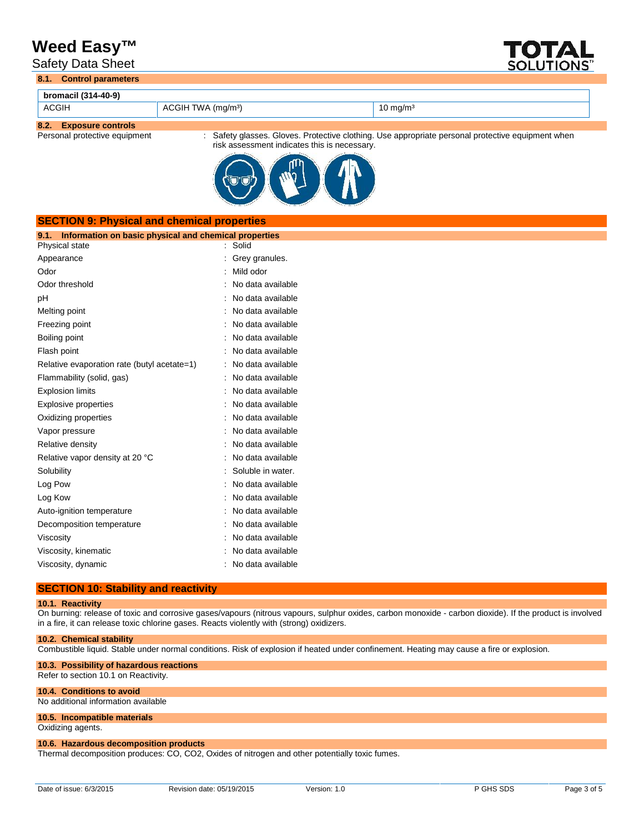Safety Data Sheet



**8.1. Control parameters**

| bromacil (314-40-9)  |                                |                     |  |
|----------------------|--------------------------------|---------------------|--|
| <b>ACGIH</b>         | ACGIH TWA (mg/m <sup>3</sup> ) | $10 \text{ mg/m}^3$ |  |
| 00 Eugenius sentrala |                                |                     |  |

**8.2. Exposure controls**

: Safety glasses. Gloves. Protective clothing. Use appropriate personal protective equipment when risk assessment indicates this is necessary.



| <b>SECTION 9: Physical and chemical properties</b>            |                   |
|---------------------------------------------------------------|-------------------|
| Information on basic physical and chemical properties<br>9.1. |                   |
| Physical state                                                | Solid             |
| Appearance                                                    | Grey granules.    |
| Odor                                                          | Mild odor         |
| Odor threshold                                                | No data available |
| pH                                                            | No data available |
| Melting point                                                 | No data available |
| Freezing point                                                | No data available |
| Boiling point                                                 | No data available |
| Flash point                                                   | No data available |
| Relative evaporation rate (butyl acetate=1)                   | No data available |
| Flammability (solid, gas)                                     | No data available |
| <b>Explosion limits</b>                                       | No data available |
| <b>Explosive properties</b>                                   | No data available |
| Oxidizing properties                                          | No data available |
| Vapor pressure                                                | No data available |
| Relative density                                              | No data available |
| Relative vapor density at 20 °C                               | No data available |
| Solubility                                                    | Soluble in water. |
| Log Pow                                                       | No data available |
| Log Kow                                                       | No data available |
| Auto-ignition temperature                                     | No data available |
| Decomposition temperature                                     | No data available |
| Viscosity                                                     | No data available |
| Viscosity, kinematic                                          | No data available |
| Viscosity, dynamic                                            | No data available |
|                                                               |                   |

## **SECTION 10: Stability and reactivity**

### **10.1. Reactivity**

On burning: release of toxic and corrosive gases/vapours (nitrous vapours, sulphur oxides, carbon monoxide - carbon dioxide). If the product is involved in a fire, it can release toxic chlorine gases. Reacts violently with (strong) oxidizers.

#### **10.2. Chemical stability**

Combustible liquid. Stable under normal conditions. Risk of explosion if heated under confinement. Heating may cause a fire or explosion.

#### **10.3. Possibility of hazardous reactions** Refer to section 10.1 on Reactivity.

## **10.4. Conditions to avoid**

No additional information available

## **10.5. Incompatible materials**

Oxidizing agents.

## **10.6. Hazardous decomposition products**

Thermal decomposition produces: CO, CO2, Oxides of nitrogen and other potentially toxic fumes.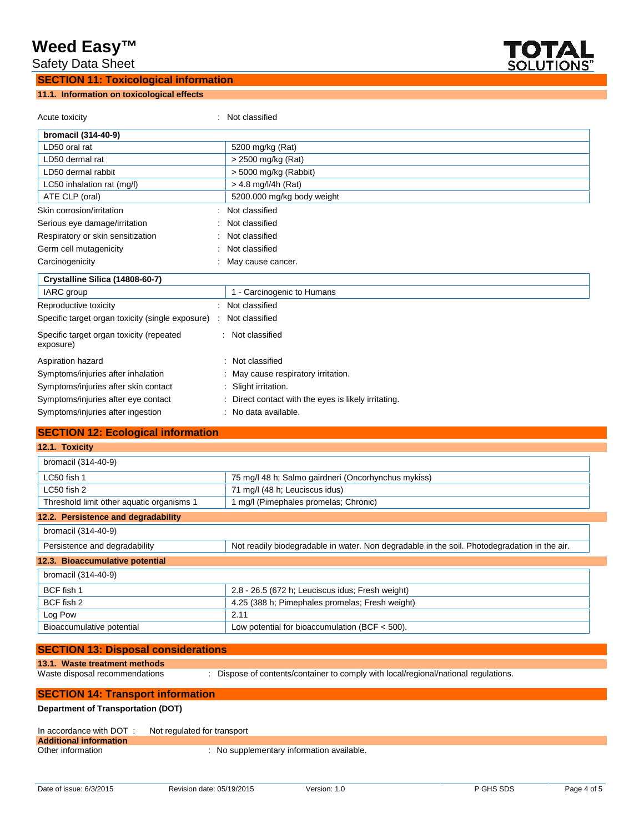Safety Data Sheet

## **SECTION 11: Toxicological information**

# **11.1. Information on toxicological effects**



Acute toxicity **in the case of the Case of the Case of the Case of the Case of the Case of the Case of the Case of the Case of the Case of the Case of the Case of the Case of the Case of the Case of the Case of the Case of bromacil (314-40-9)** LD50 oral rat  $\vert$  5200 mg/kg (Rat) LD50 dermal rat  $\vert$  > 2500 mg/kg (Rat) LD50 dermal rabbit  $\vert$  > 5000 mg/kg (Rabbit) LC50 inhalation rat (mg/l)  $\vert$  > 4.8 mg/l/4h (Rat) ATE CLP (oral) **5200.000** mg/kg body weight Skin corrosion/irritation  $\cdot$  Not classified Serious eye damage/irritation : Not classified Respiratory or skin sensitization : Not classified Germ cell mutagenicity **Second Contract Contract Contract Contract Contract Contract Contract Contract Contract Contract Contract Contract Contract Contract Contract Contract Contract Contract Contract Contract Contract Co** Carcinogenicity **Carcinogenicity** : May cause cancer. **Crystalline Silica (14808-60-7)** IARC group 1 - Carcinogenic to Humans Reproductive toxicity **in the contract of the CRS** in Not classified Specific target organ toxicity (single exposure) : Not classified Specific target organ toxicity (repeated exposure) : Not classified Aspiration hazard **in the set of the set of the set of the set of the set of the set of the set of the set of the set of the set of the set of the set of the set of the set of the set of the set of the set of the set of th** Symptoms/injuries after inhalation : May cause respiratory irritation. Symptoms/injuries after skin contact : Slight irritation. Symptoms/injuries after eye contact : Direct contact with the eyes is likely irritating. Symptoms/injuries after ingestion : No data available.

| <b>SECTION 12: Ecological information</b> |                                                                                              |
|-------------------------------------------|----------------------------------------------------------------------------------------------|
| 12.1. Toxicity                            |                                                                                              |
| bromacil (314-40-9)                       |                                                                                              |
| $LC50$ fish 1                             | 75 mg/l 48 h; Salmo gairdneri (Oncorhynchus mykiss)                                          |
| LC50 fish 2                               | 71 mg/l (48 h; Leuciscus idus)                                                               |
| Threshold limit other aquatic organisms 1 | 1 mg/l (Pimephales promelas; Chronic)                                                        |
| 12.2. Persistence and degradability       |                                                                                              |
| bromacil (314-40-9)                       |                                                                                              |
| Persistence and degradability             | Not readily biodegradable in water. Non degradable in the soil. Photodegradation in the air. |
| 12.3. Bioaccumulative potential           |                                                                                              |
| bromacil (314-40-9)                       |                                                                                              |
| BCF fish 1                                | 2.8 - 26.5 (672 h; Leuciscus idus; Fresh weight)                                             |
| BCF fish 2                                | 4.25 (388 h; Pimephales promelas; Fresh weight)                                              |
| Log Pow                                   | 2.11                                                                                         |
| Bioaccumulative potential                 | Low potential for bioaccumulation (BCF $<$ 500).                                             |

|  | <b>SECTION 13: Disposal considerations</b> |  |
|--|--------------------------------------------|--|
|  |                                            |  |

### **13.1. Waste treatment methods**

Waste disposal recommendations : Dispose of contents/container to comply with local/regional/national regulations.

## **SECTION 14: Transport information Department of Transportation (DOT)**

| In accordance with DOT:       | Not regulated for transport               |
|-------------------------------|-------------------------------------------|
| <b>Additional information</b> |                                           |
| Other information             | : No supplementary information available. |